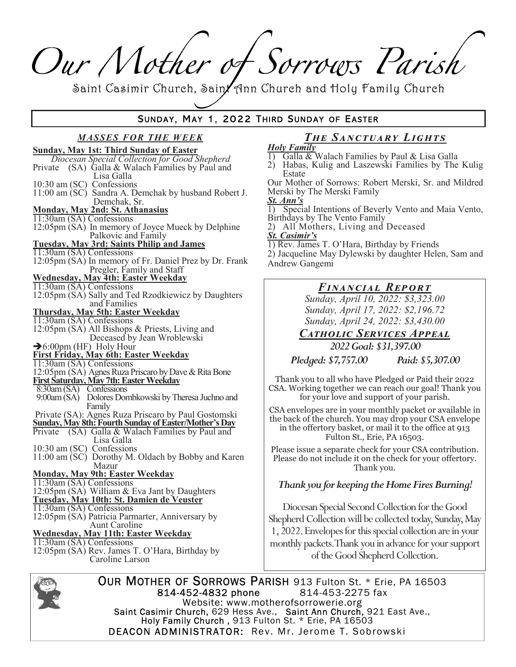# Our Mother of Sorrows Parish

Saint Casimir Church, Sain/ Ann Church and Holy Family Church

## SUNDAY, MAY 1, 2022 THIRD SUNDAY OF EASTER

#### **MASSES FOR THE WEEK Sunday, May 1st: Third Sunday of Easter** Diocesan Special Collection for Good Shepherd Private (SA) Galla & Walach Families by Paul and Lisa Galla 10:30 am (SC) Confessions 11:00 am (SC) Sandra A. Demchak by husband Robert J. Demchak, Sr. Monday, May 2nd: St. Athanasius 11:30am (SA) Confessions 12:05pm (SA) In memory of Joyce Mueck by Delphine Palkovic and Family **Tuesday, May 3rd: Saints Philip and James** 11:30am (SA) Confessions 12:05pm (SA) In memory of Fr. Daniel Prez by Dr. Frank Pregler, Family and Staff **Wednesday, May 4th: Easter Weekday**  $11:30$ am (SA) Confessions 12:05pm (SA) Sally and Ted Rzodkiewicz by Daughters and Families Thursday, May 5th: Easter Weekday<br>11:30am (SA) Confessions 12:05pm (SA) All Bishops & Priests, Living and Deceased by Jean Wroblewski >6:00pm (HF) Holy Hour<br>First Friday, May 6th: Easter Weekday 11:30am (SA) Confessions 12:05pm (SA) Agnes Ruza Priscaro by Dave & Rita Bone First Saturday, May 7th: Easter Weekday 8:30am (SA) Confessions 9:00am (SA) Dolores Dombkowski by Theresa Juchno and Family Private (SA): Agnes Ruza Priscaro by Paul Gostomski **Sunday, May 8th: Fourth Sunday of Easter/Mother's Day** Private (SA) Galla & Walach Families by Paul and Lisa Galla 10:30 am (SC) Confessions 11:00 am (SC) Dorothy M. Oldach by Bobby and Karen Mazur **Monday, May 9th: Easter Weekday** 11:30am (SA) Confessions 12:05pm (SA) William & Eva Jant by Daughters Tuesday, May 10th: St. Damien de Veuster  $11:30$ am (SA) Confessions 12:05pm (SA) Patricia Parmarter, Anniversary by Aunt Caroline Wednesday, May 11th: Easter Weekday  $11:30$ am (SA) Confessions 12:05pm (SA) Rev. James T. O'Hara, Birthday by Caroline Larson

#### The SANCTUARY LIGHTS **Holy Family**

- Galla & Walach Families by Paul & Lisa Galla  $\left| \cdot \right|$
- 2) Habas, Kulig and Laszewski Families by The Kulig Estate

Our Mother of Sorrows: Robert Merski, Sr. and Mildred Merski by The Merski Family

- St. Ann's Special Intentions of Beverly Vento and Maia Vento, 1) Birthdays by The Vento Family
- 2) All Mothers, Living and Deceased

**St. Casimir's** 

1) Rev. James T. O'Hara, Birthday by Friends

2) Jacqueline May Dylewski by daughter Helen, Sam and Andrew Gangemi

## FINANCIAL REPORT

Sunday, April 10, 2022: \$3,323.00 Sunday, April 17, 2022: \$2,196.72 Sunday, April 24, 2022: \$3,430.00

**CATHOLIC SERVICES APPEAL** 

2022 Goal: \$31,397.00

Pledged: \$7,757.00 Paid: \$5,307.00

Thank you to all who have Pledged or Paid their 2022 CSA. Working together we can reach our goal! Thank you for your love and support of your parish.

CSA envelopes are in your monthly packet or available in the back of the church. You may drop your CSA envelope in the offertory basket, or mail it to the office at 913 Fulton St., Erie, PA 16503.

Please issue a separate check for your CSA contribution. Please do not include it on the check for your offertory. Thank you.

## Thank you for keeping the Home Fires Burning!

Diocesan Special Second Collection for the Good Shepherd Collection will be collected today, Sunday, May 1, 2022. Envelopes for this special collection are in your monthly packets. Thank you in advance for your support of the Good Shepherd Collection.



OUR MOTHER OF SORROWS PARISH 913 Fulton St. \* Erie, PA 16503 814-452-4832 phone 814-453-2275 fax Website: www.motherofsorrowerie.org Saint Casimir Church, 629 Hess Ave., Saint Ann Church, 921 East Ave.,<br>Holy Family Church, 913 Fulton St. \* Erie, PA 16503 **DEACON ADMINISTRATOR:** Rev. Mr. Jerome T. Sobrowski